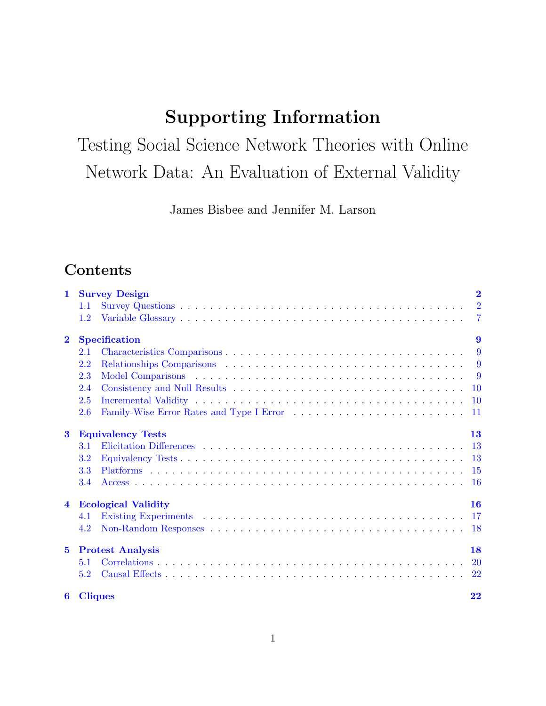# Supporting Information

Testing Social Science Network Theories with Online Network Data: An Evaluation of External Validity

James Bisbee and Jennifer M. Larson

# Contents

| $\mathbf{1}$            | $\overline{2}$<br><b>Survey Design</b> |                      |                  |  |  |  |  |  |
|-------------------------|----------------------------------------|----------------------|------------------|--|--|--|--|--|
|                         | 1.1                                    |                      | $\overline{2}$   |  |  |  |  |  |
|                         | 1.2                                    |                      | $\overline{7}$   |  |  |  |  |  |
| $\mathbf 2$             |                                        | <b>Specification</b> | $\boldsymbol{9}$ |  |  |  |  |  |
|                         | 2.1                                    |                      | 9                |  |  |  |  |  |
|                         | 2.2                                    |                      | 9                |  |  |  |  |  |
|                         | 2.3                                    |                      | - 9              |  |  |  |  |  |
|                         | 2.4                                    |                      | <b>10</b>        |  |  |  |  |  |
|                         | 2.5                                    |                      | <b>10</b>        |  |  |  |  |  |
|                         | 2.6                                    |                      | -11              |  |  |  |  |  |
| $\bf{3}$                | <b>Equivalency Tests</b><br>13         |                      |                  |  |  |  |  |  |
|                         | 3.1                                    |                      | <b>13</b>        |  |  |  |  |  |
|                         | 3.2                                    |                      |                  |  |  |  |  |  |
|                         | 3.3                                    |                      | -15              |  |  |  |  |  |
|                         | 3.4                                    |                      | -16              |  |  |  |  |  |
| $\overline{\mathbf{4}}$ | <b>Ecological Validity</b><br>16       |                      |                  |  |  |  |  |  |
|                         | 4.1                                    |                      | -17              |  |  |  |  |  |
|                         | 4.2                                    |                      |                  |  |  |  |  |  |
| $5\overline{)}$         | <b>Protest Analysis</b><br>18          |                      |                  |  |  |  |  |  |
|                         | 5.1                                    |                      | <b>20</b>        |  |  |  |  |  |
|                         | 5.2                                    |                      | 22               |  |  |  |  |  |
| 6                       |                                        | <b>Cliques</b>       | 22               |  |  |  |  |  |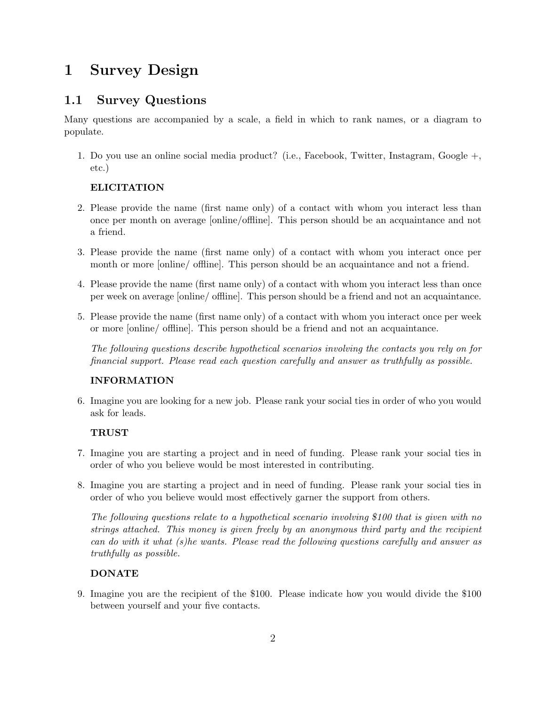# <span id="page-1-0"></span>1 Survey Design

## <span id="page-1-1"></span>1.1 Survey Questions

Many questions are accompanied by a scale, a field in which to rank names, or a diagram to populate.

1. Do you use an online social media product? (i.e., Facebook, Twitter, Instagram, Google +, etc.)

### ELICITATION

- 2. Please provide the name (first name only) of a contact with whom you interact less than once per month on average [online/offline]. This person should be an acquaintance and not a friend.
- 3. Please provide the name (first name only) of a contact with whom you interact once per month or more [online/ offline]. This person should be an acquaintance and not a friend.
- 4. Please provide the name (first name only) of a contact with whom you interact less than once per week on average [online/ offline]. This person should be a friend and not an acquaintance.
- 5. Please provide the name (first name only) of a contact with whom you interact once per week or more [online/ offline]. This person should be a friend and not an acquaintance.

The following questions describe hypothetical scenarios involving the contacts you rely on for financial support. Please read each question carefully and answer as truthfully as possible.

### INFORMATION

6. Imagine you are looking for a new job. Please rank your social ties in order of who you would ask for leads.

#### **TRUST**

- 7. Imagine you are starting a project and in need of funding. Please rank your social ties in order of who you believe would be most interested in contributing.
- 8. Imagine you are starting a project and in need of funding. Please rank your social ties in order of who you believe would most effectively garner the support from others.

The following questions relate to a hypothetical scenario involving \$100 that is given with no strings attached. This money is given freely by an anonymous third party and the recipient can do with it what (s)he wants. Please read the following questions carefully and answer as truthfully as possible.

### DONATE

9. Imagine you are the recipient of the \$100. Please indicate how you would divide the \$100 between yourself and your five contacts.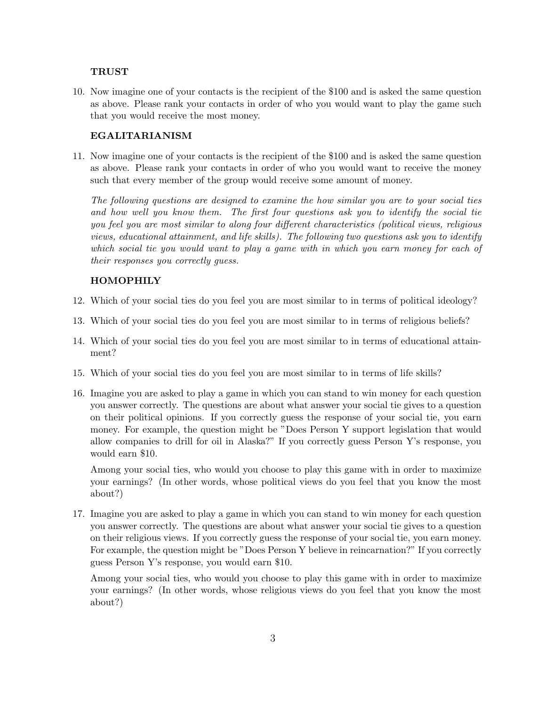#### **TRUST**

10. Now imagine one of your contacts is the recipient of the \$100 and is asked the same question as above. Please rank your contacts in order of who you would want to play the game such that you would receive the most money.

#### EGALITARIANISM

11. Now imagine one of your contacts is the recipient of the \$100 and is asked the same question as above. Please rank your contacts in order of who you would want to receive the money such that every member of the group would receive some amount of money.

The following questions are designed to examine the how similar you are to your social ties and how well you know them. The first four questions ask you to identify the social tie you feel you are most similar to along four different characteristics (political views, religious views, educational attainment, and life skills). The following two questions ask you to identify which social tie you would want to play a game with in which you earn money for each of their responses you correctly guess.

#### HOMOPHILY

- 12. Which of your social ties do you feel you are most similar to in terms of political ideology?
- 13. Which of your social ties do you feel you are most similar to in terms of religious beliefs?
- 14. Which of your social ties do you feel you are most similar to in terms of educational attainment?
- 15. Which of your social ties do you feel you are most similar to in terms of life skills?
- 16. Imagine you are asked to play a game in which you can stand to win money for each question you answer correctly. The questions are about what answer your social tie gives to a question on their political opinions. If you correctly guess the response of your social tie, you earn money. For example, the question might be "Does Person Y support legislation that would allow companies to drill for oil in Alaska?" If you correctly guess Person Y's response, you would earn \$10.

Among your social ties, who would you choose to play this game with in order to maximize your earnings? (In other words, whose political views do you feel that you know the most about?)

17. Imagine you are asked to play a game in which you can stand to win money for each question you answer correctly. The questions are about what answer your social tie gives to a question on their religious views. If you correctly guess the response of your social tie, you earn money. For example, the question might be "Does Person Y believe in reincarnation?" If you correctly guess Person Y's response, you would earn \$10.

Among your social ties, who would you choose to play this game with in order to maximize your earnings? (In other words, whose religious views do you feel that you know the most about?)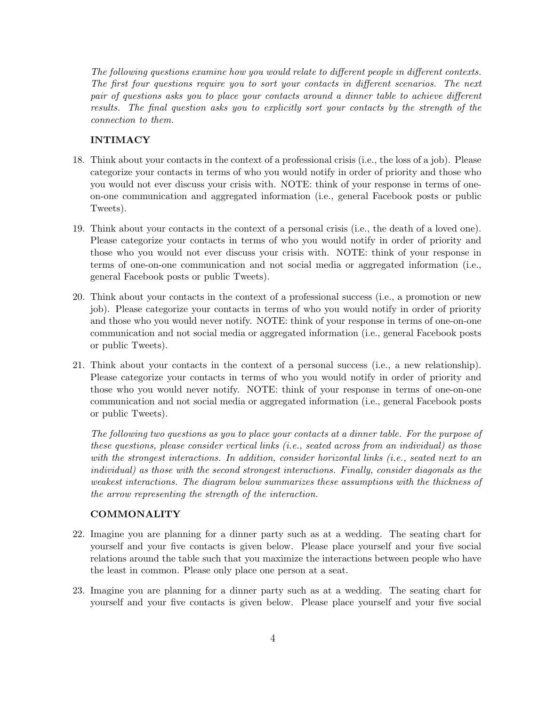The following questions examine how you would relate to different people in different contexts. The first four questions require you to sort your contacts in different scenarios. The next pair of questions asks you to place your contacts around a dinner table to achieve different results. The final question asks you to explicitly sort your contacts by the strength of the connection to them.

#### INTIMACY

- 18. Think about your contacts in the context of a professional crisis (i.e., the loss of a job). Please categorize your contacts in terms of who you would notify in order of priority and those who you would not ever discuss your crisis with. NOTE: think of your response in terms of oneon-one communication and aggregated information (i.e., general Facebook posts or public Tweets).
- 19. Think about your contacts in the context of a personal crisis (i.e., the death of a loved one). Please categorize your contacts in terms of who you would notify in order of priority and those who you would not ever discuss your crisis with. NOTE: think of your response in terms of one-on-one communication and not social media or aggregated information (i.e., general Facebook posts or public Tweets).
- 20. Think about your contacts in the context of a professional success (i.e., a promotion or new job). Please categorize your contacts in terms of who you would notify in order of priority and those who you would never notify. NOTE: think of your response in terms of one-on-one communication and not social media or aggregated information (i.e., general Facebook posts or public Tweets).
- 21. Think about your contacts in the context of a personal success (i.e., a new relationship). Please categorize your contacts in terms of who you would notify in order of priority and those who you would never notify. NOTE: think of your response in terms of one-on-one communication and not social media or aggregated information (i.e., general Facebook posts or public Tweets).

The following two questions as you to place your contacts at a dinner table. For the purpose of these questions, please consider vertical links (i.e., seated across from an individual) as those with the strongest interactions. In addition, consider horizontal links (i.e., seated next to an individual) as those with the second strongest interactions. Finally, consider diagonals as the weakest interactions. The diagram below summarizes these assumptions with the thickness of the arrow representing the strength of the interaction.

#### COMMONALITY

- 22. Imagine you are planning for a dinner party such as at a wedding. The seating chart for yourself and your five contacts is given below. Please place yourself and your five social relations around the table such that you maximize the interactions between people who have the least in common. Please only place one person at a seat.
- 23. Imagine you are planning for a dinner party such as at a wedding. The seating chart for yourself and your five contacts is given below. Please place yourself and your five social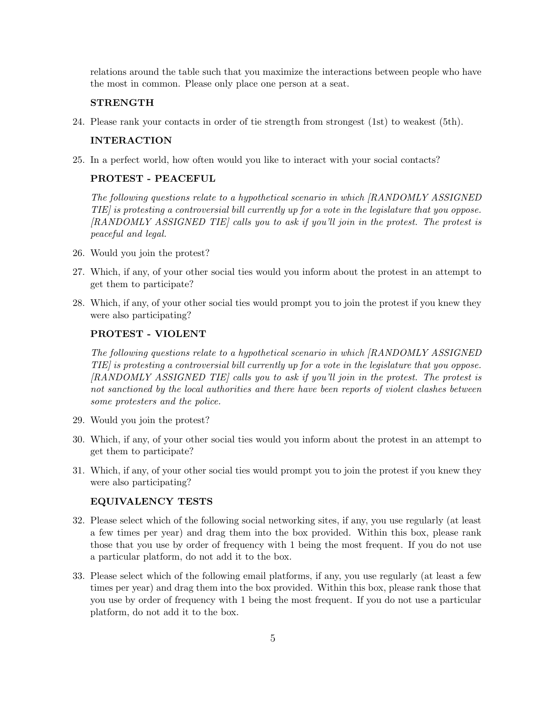relations around the table such that you maximize the interactions between people who have the most in common. Please only place one person at a seat.

#### **STRENGTH**

24. Please rank your contacts in order of tie strength from strongest (1st) to weakest (5th).

#### INTERACTION

25. In a perfect world, how often would you like to interact with your social contacts?

#### PROTEST - PEACEFUL

The following questions relate to a hypothetical scenario in which [RANDOMLY ASSIGNED TIE] is protesting a controversial bill currently up for a vote in the legislature that you oppose. [RANDOMLY ASSIGNED TIE] calls you to ask if you'll join in the protest. The protest is peaceful and legal.

- 26. Would you join the protest?
- 27. Which, if any, of your other social ties would you inform about the protest in an attempt to get them to participate?
- 28. Which, if any, of your other social ties would prompt you to join the protest if you knew they were also participating?

#### PROTEST - VIOLENT

The following questions relate to a hypothetical scenario in which [RANDOMLY ASSIGNED TIE] is protesting a controversial bill currently up for a vote in the legislature that you oppose. [RANDOMLY ASSIGNED TIE] calls you to ask if you'll join in the protest. The protest is not sanctioned by the local authorities and there have been reports of violent clashes between some protesters and the police.

- 29. Would you join the protest?
- 30. Which, if any, of your other social ties would you inform about the protest in an attempt to get them to participate?
- 31. Which, if any, of your other social ties would prompt you to join the protest if you knew they were also participating?

#### EQUIVALENCY TESTS

- 32. Please select which of the following social networking sites, if any, you use regularly (at least a few times per year) and drag them into the box provided. Within this box, please rank those that you use by order of frequency with 1 being the most frequent. If you do not use a particular platform, do not add it to the box.
- 33. Please select which of the following email platforms, if any, you use regularly (at least a few times per year) and drag them into the box provided. Within this box, please rank those that you use by order of frequency with 1 being the most frequent. If you do not use a particular platform, do not add it to the box.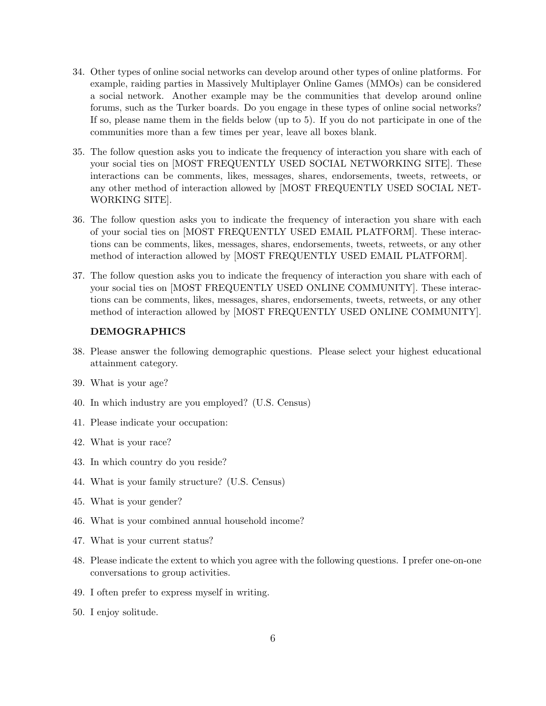- 34. Other types of online social networks can develop around other types of online platforms. For example, raiding parties in Massively Multiplayer Online Games (MMOs) can be considered a social network. Another example may be the communities that develop around online forums, such as the Turker boards. Do you engage in these types of online social networks? If so, please name them in the fields below (up to 5). If you do not participate in one of the communities more than a few times per year, leave all boxes blank.
- 35. The follow question asks you to indicate the frequency of interaction you share with each of your social ties on [MOST FREQUENTLY USED SOCIAL NETWORKING SITE]. These interactions can be comments, likes, messages, shares, endorsements, tweets, retweets, or any other method of interaction allowed by [MOST FREQUENTLY USED SOCIAL NET-WORKING SITE].
- 36. The follow question asks you to indicate the frequency of interaction you share with each of your social ties on [MOST FREQUENTLY USED EMAIL PLATFORM]. These interactions can be comments, likes, messages, shares, endorsements, tweets, retweets, or any other method of interaction allowed by [MOST FREQUENTLY USED EMAIL PLATFORM].
- 37. The follow question asks you to indicate the frequency of interaction you share with each of your social ties on [MOST FREQUENTLY USED ONLINE COMMUNITY]. These interactions can be comments, likes, messages, shares, endorsements, tweets, retweets, or any other method of interaction allowed by [MOST FREQUENTLY USED ONLINE COMMUNITY].

#### DEMOGRAPHICS

- 38. Please answer the following demographic questions. Please select your highest educational attainment category.
- 39. What is your age?
- 40. In which industry are you employed? (U.S. Census)
- 41. Please indicate your occupation:
- 42. What is your race?
- 43. In which country do you reside?
- 44. What is your family structure? (U.S. Census)
- 45. What is your gender?
- 46. What is your combined annual household income?
- 47. What is your current status?
- 48. Please indicate the extent to which you agree with the following questions. I prefer one-on-one conversations to group activities.
- 49. I often prefer to express myself in writing.
- 50. I enjoy solitude.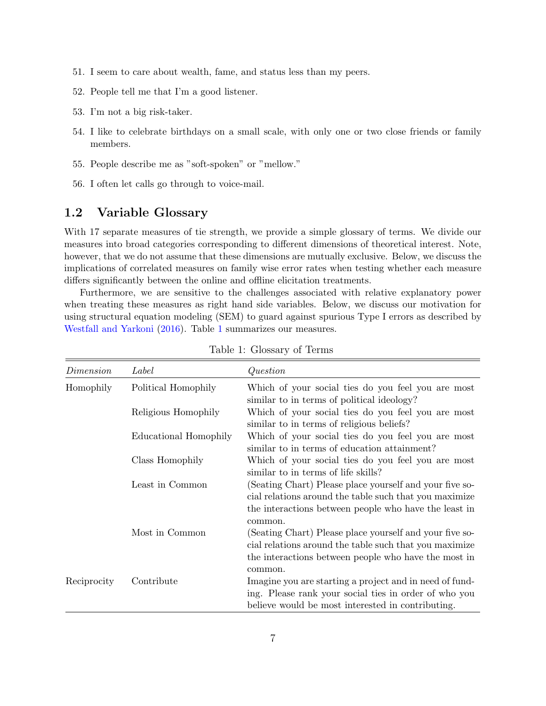- 51. I seem to care about wealth, fame, and status less than my peers.
- 52. People tell me that I'm a good listener.
- 53. I'm not a big risk-taker.
- 54. I like to celebrate birthdays on a small scale, with only one or two close friends or family members.
- 55. People describe me as "soft-spoken" or "mellow."
- 56. I often let calls go through to voice-mail.

### <span id="page-6-0"></span>1.2 Variable Glossary

With 17 separate measures of tie strength, we provide a simple glossary of terms. We divide our measures into broad categories corresponding to different dimensions of theoretical interest. Note, however, that we do not assume that these dimensions are mutually exclusive. Below, we discuss the implications of correlated measures on family wise error rates when testing whether each measure differs significantly between the online and offline elicitation treatments.

Furthermore, we are sensitive to the challenges associated with relative explanatory power when treating these measures as right hand side variables. Below, we discuss our motivation for using structural equation modeling (SEM) to guard against spurious Type I errors as described by [Westfall and Yarkoni](#page-24-0) [\(2016\)](#page-24-0). Table [1](#page-6-1) summarizes our measures.

<span id="page-6-1"></span>

| Dimension   | Label                 | Question                                                                                                                                                                              |
|-------------|-----------------------|---------------------------------------------------------------------------------------------------------------------------------------------------------------------------------------|
| Homophily   | Political Homophily   | Which of your social ties do you feel you are most<br>similar to in terms of political ideology?                                                                                      |
|             | Religious Homophily   | Which of your social ties do you feel you are most<br>similar to in terms of religious beliefs?                                                                                       |
|             | Educational Homophily | Which of your social ties do you feel you are most<br>similar to in terms of education attainment?                                                                                    |
|             | Class Homophily       | Which of your social ties do you feel you are most<br>similar to in terms of life skills?                                                                                             |
|             | Least in Common       | (Seating Chart) Please place yourself and your five so-<br>cial relations around the table such that you maximize<br>the interactions between people who have the least in<br>common. |
|             | Most in Common        | (Seating Chart) Please place yourself and your five so-<br>cial relations around the table such that you maximize<br>the interactions between people who have the most in<br>common.  |
| Reciprocity | Contribute            | Imagine you are starting a project and in need of fund-<br>ing. Please rank your social ties in order of who you<br>believe would be most interested in contributing.                 |

Table 1: Glossary of Terms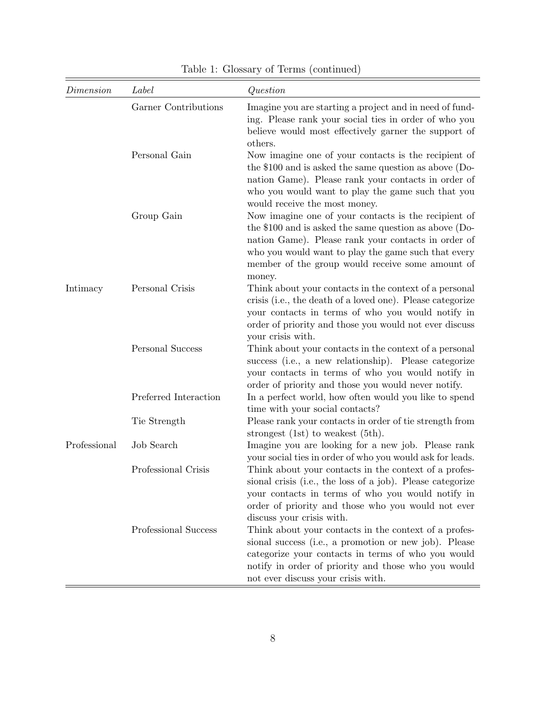| Dimension    | Label                 | Question                                                                                                                                                                                                                                                                                     |
|--------------|-----------------------|----------------------------------------------------------------------------------------------------------------------------------------------------------------------------------------------------------------------------------------------------------------------------------------------|
|              | Garner Contributions  | Imagine you are starting a project and in need of fund-<br>ing. Please rank your social ties in order of who you<br>believe would most effectively garner the support of<br>others.                                                                                                          |
|              | Personal Gain         | Now imagine one of your contacts is the recipient of<br>the $$100$ and is asked the same question as above (Do-<br>nation Game). Please rank your contacts in order of<br>who you would want to play the game such that you<br>would receive the most money.                                 |
|              | Group Gain            | Now imagine one of your contacts is the recipient of<br>the \$100 and is asked the same question as above $(Do-$<br>nation Game). Please rank your contacts in order of<br>who you would want to play the game such that every<br>member of the group would receive some amount of<br>money. |
| Intimacy     | Personal Crisis       | Think about your contacts in the context of a personal<br>crisis (i.e., the death of a loved one). Please categorize<br>your contacts in terms of who you would notify in<br>order of priority and those you would not ever discuss<br>your crisis with.                                     |
|              | Personal Success      | Think about your contacts in the context of a personal<br>success (i.e., a new relationship). Please categorize<br>your contacts in terms of who you would notify in<br>order of priority and those you would never notify.                                                                  |
|              | Preferred Interaction | In a perfect world, how often would you like to spend<br>time with your social contacts?                                                                                                                                                                                                     |
|              | Tie Strength          | Please rank your contacts in order of tie strength from<br>strongest $(1st)$ to weakest $(5th)$ .                                                                                                                                                                                            |
| Professional | Job Search            | Imagine you are looking for a new job. Please rank<br>your social ties in order of who you would ask for leads.                                                                                                                                                                              |
|              | Professional Crisis   | Think about your contacts in the context of a profes-<br>sional crisis (i.e., the loss of a job). Please categorize<br>your contacts in terms of who you would notify in<br>order of priority and those who you would not ever<br>discuss your crisis with.                                  |
|              | Professional Success  | Think about your contacts in the context of a profes-<br>sional success (i.e., a promotion or new job). Please<br>categorize your contacts in terms of who you would<br>notify in order of priority and those who you would<br>not ever discuss your crisis with.                            |

Table 1: Glossary of Terms (continued)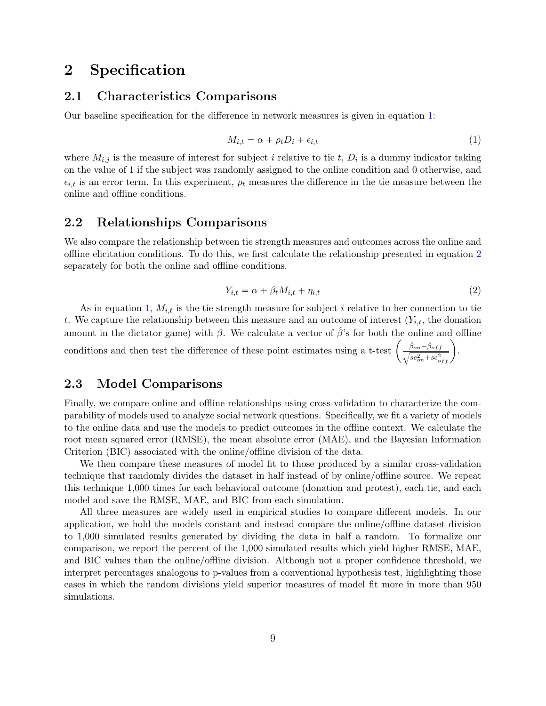# <span id="page-8-0"></span>2 Specification

### <span id="page-8-1"></span>2.1 Characteristics Comparisons

Our baseline specification for the difference in network measures is given in equation [1:](#page-8-4)

<span id="page-8-4"></span>
$$
M_{i,t} = \alpha + \rho_t D_i + \epsilon_{i,t} \tag{1}
$$

where  $M_{i,j}$  is the measure of interest for subject i relative to tie t,  $D_i$  is a dummy indicator taking on the value of 1 if the subject was randomly assigned to the online condition and 0 otherwise, and  $\epsilon_{i,t}$  is an error term. In this experiment,  $\rho_t$  measures the difference in the tie measure between the online and offline conditions.

### <span id="page-8-2"></span>2.2 Relationships Comparisons

We also compare the relationship between tie strength measures and outcomes across the online and offline elicitation conditions. To do this, we first calculate the relationship presented in equation [2](#page-8-5) separately for both the online and offline conditions.

<span id="page-8-5"></span>
$$
Y_{i,t} = \alpha + \beta_t M_{i,t} + \eta_{i,t} \tag{2}
$$

As in equation [1,](#page-8-4)  $M_{i,t}$  is the tie strength measure for subject i relative to her connection to tie t. We capture the relationship between this measure and an outcome of interest  $(Y_{i,t}$ , the donation amount in the dictator game) with  $\beta$ . We calculate a vector of  $\hat{\beta}$ 's for both the online and offline amount in the dictator game) with  $\beta$ . We calculate a vector of  $\beta$ 's for both the online a<br>conditions and then test the difference of these point estimates using a t-test  $\left(\frac{\hat{\beta}_{on}-\hat{\beta}_{off}}{\hat{\beta}_{off}-\hat{\beta}_{off}}\right)$  $\frac{\hat{\beta}_{on}-\hat{\beta}_{off}}{se_{on}^{2}+se_{off}^{2}}\bigg)$ .

### <span id="page-8-3"></span>2.3 Model Comparisons

Finally, we compare online and offline relationships using cross-validation to characterize the comparability of models used to analyze social network questions. Specifically, we fit a variety of models to the online data and use the models to predict outcomes in the offline context. We calculate the root mean squared error (RMSE), the mean absolute error (MAE), and the Bayesian Information Criterion (BIC) associated with the online/offline division of the data.

We then compare these measures of model fit to those produced by a similar cross-validation technique that randomly divides the dataset in half instead of by online/offline source. We repeat this technique 1,000 times for each behavioral outcome (donation and protest), each tie, and each model and save the RMSE, MAE, and BIC from each simulation.

All three measures are widely used in empirical studies to compare different models. In our application, we hold the models constant and instead compare the online/offline dataset division to 1,000 simulated results generated by dividing the data in half a random. To formalize our comparison, we report the percent of the 1,000 simulated results which yield higher RMSE, MAE, and BIC values than the online/offline division. Although not a proper confidence threshold, we interpret percentages analogous to p-values from a conventional hypothesis test, highlighting those cases in which the random divisions yield superior measures of model fit more in more than 950 simulations.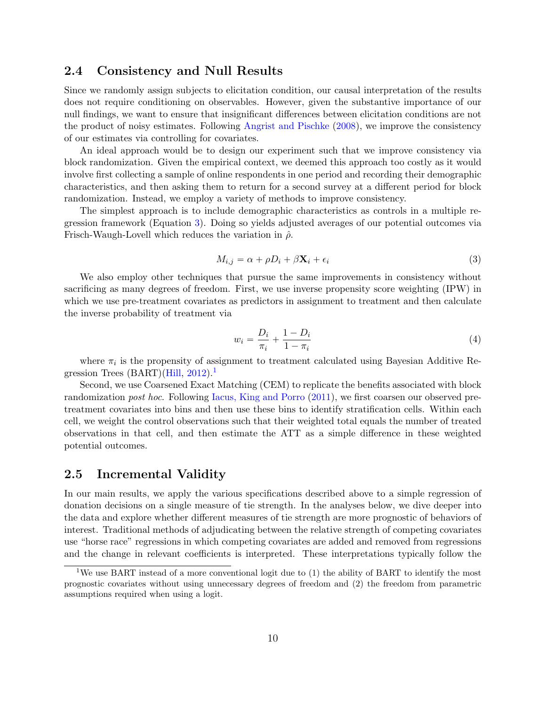### <span id="page-9-0"></span>2.4 Consistency and Null Results

Since we randomly assign subjects to elicitation condition, our causal interpretation of the results does not require conditioning on observables. However, given the substantive importance of our null findings, we want to ensure that insignificant differences between elicitation conditions are not the product of noisy estimates. Following [Angrist and Pischke](#page-24-1) [\(2008\)](#page-24-1), we improve the consistency of our estimates via controlling for covariates.

An ideal approach would be to design our experiment such that we improve consistency via block randomization. Given the empirical context, we deemed this approach too costly as it would involve first collecting a sample of online respondents in one period and recording their demographic characteristics, and then asking them to return for a second survey at a different period for block randomization. Instead, we employ a variety of methods to improve consistency.

The simplest approach is to include demographic characteristics as controls in a multiple regression framework (Equation [3\)](#page-9-2). Doing so yields adjusted averages of our potential outcomes via Frisch-Waugh-Lovell which reduces the variation in  $\hat{\rho}$ .

<span id="page-9-2"></span>
$$
M_{i,j} = \alpha + \rho D_i + \beta \mathbf{X}_i + \epsilon_i \tag{3}
$$

We also employ other techniques that pursue the same improvements in consistency without sacrificing as many degrees of freedom. First, we use inverse propensity score weighting (IPW) in which we use pre-treatment covariates as predictors in assignment to treatment and then calculate the inverse probability of treatment via

$$
w_i = \frac{D_i}{\pi_i} + \frac{1 - D_i}{1 - \pi_i} \tag{4}
$$

where  $\pi_i$  is the propensity of assignment to treatment calculated using Bayesian Additive Regression Trees  $(BART)(Hill, 2012).$  $(BART)(Hill, 2012).$  $(BART)(Hill, 2012).$  $(BART)(Hill, 2012).$  $(BART)(Hill, 2012).$ <sup>[1](#page-9-3)</sup>

Second, we use Coarsened Exact Matching (CEM) to replicate the benefits associated with block randomization post hoc. Following [Iacus, King and Porro](#page-24-3) [\(2011\)](#page-24-3), we first coarsen our observed pretreatment covariates into bins and then use these bins to identify stratification cells. Within each cell, we weight the control observations such that their weighted total equals the number of treated observations in that cell, and then estimate the ATT as a simple difference in these weighted potential outcomes.

#### <span id="page-9-1"></span>2.5 Incremental Validity

In our main results, we apply the various specifications described above to a simple regression of donation decisions on a single measure of tie strength. In the analyses below, we dive deeper into the data and explore whether different measures of tie strength are more prognostic of behaviors of interest. Traditional methods of adjudicating between the relative strength of competing covariates use "horse race" regressions in which competing covariates are added and removed from regressions and the change in relevant coefficients is interpreted. These interpretations typically follow the

<span id="page-9-3"></span><sup>&</sup>lt;sup>1</sup>We use BART instead of a more conventional logit due to (1) the ability of BART to identify the most prognostic covariates without using unnecessary degrees of freedom and (2) the freedom from parametric assumptions required when using a logit.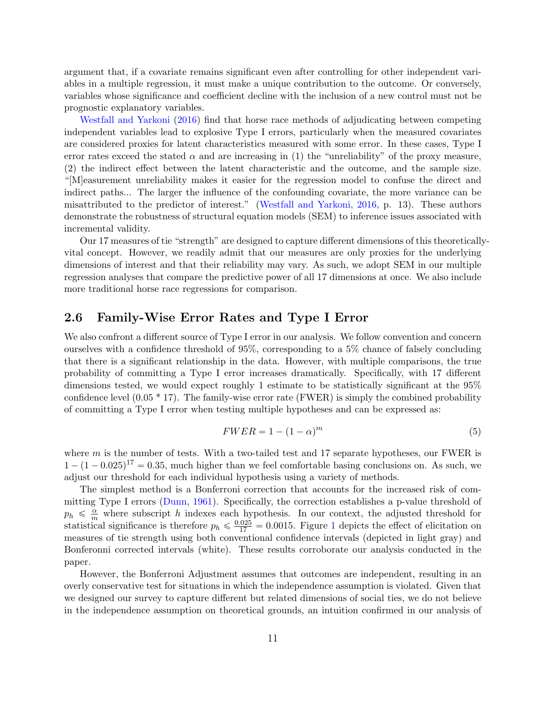argument that, if a covariate remains significant even after controlling for other independent variables in a multiple regression, it must make a unique contribution to the outcome. Or conversely, variables whose significance and coefficient decline with the inclusion of a new control must not be prognostic explanatory variables.

[Westfall and Yarkoni](#page-24-0) [\(2016\)](#page-24-0) find that horse race methods of adjudicating between competing independent variables lead to explosive Type I errors, particularly when the measured covariates are considered proxies for latent characteristics measured with some error. In these cases, Type I error rates exceed the stated  $\alpha$  and are increasing in (1) the "unreliability" of the proxy measure, (2) the indirect effect between the latent characteristic and the outcome, and the sample size. "[M]easurement unreliability makes it easier for the regression model to confuse the direct and indirect paths... The larger the influence of the confounding covariate, the more variance can be misattributed to the predictor of interest." [\(Westfall and Yarkoni,](#page-24-0) [2016,](#page-24-0) p. 13). These authors demonstrate the robustness of structural equation models (SEM) to inference issues associated with incremental validity.

Our 17 measures of tie "strength" are designed to capture different dimensions of this theoreticallyvital concept. However, we readily admit that our measures are only proxies for the underlying dimensions of interest and that their reliability may vary. As such, we adopt SEM in our multiple regression analyses that compare the predictive power of all 17 dimensions at once. We also include more traditional horse race regressions for comparison.

### <span id="page-10-0"></span>2.6 Family-Wise Error Rates and Type I Error

We also confront a different source of Type I error in our analysis. We follow convention and concern ourselves with a confidence threshold of 95%, corresponding to a 5% chance of falsely concluding that there is a significant relationship in the data. However, with multiple comparisons, the true probability of committing a Type I error increases dramatically. Specifically, with 17 different dimensions tested, we would expect roughly 1 estimate to be statistically significant at the 95% confidence level  $(0.05 * 17)$ . The family-wise error rate (FWER) is simply the combined probability of committing a Type I error when testing multiple hypotheses and can be expressed as:

$$
FWER = 1 - (1 - \alpha)^m \tag{5}
$$

where  $m$  is the number of tests. With a two-tailed test and 17 separate hypotheses, our FWER is  $1 - (1 - 0.025)^{17} = 0.35$ , much higher than we feel comfortable basing conclusions on. As such, we adjust our threshold for each individual hypothesis using a variety of methods.

The simplest method is a Bonferroni correction that accounts for the increased risk of committing Type I errors [\(Dunn,](#page-24-4) [1961\)](#page-24-4). Specifically, the correction establishes a p-value threshold of  $p_h \leq \frac{\alpha}{m}$  where subscript h indexes each hypothesis. In our context, the adjusted threshold for statistical significance is therefore  $p_h \leq \frac{0.025}{17} = 0.0015$  $p_h \leq \frac{0.025}{17} = 0.0015$  $p_h \leq \frac{0.025}{17} = 0.0015$ . Figure 1 depicts the effect of elicitation on measures of tie strength using both conventional confidence intervals (depicted in light gray) and Bonferonni corrected intervals (white). These results corroborate our analysis conducted in the paper.

However, the Bonferroni Adjustment assumes that outcomes are independent, resulting in an overly conservative test for situations in which the independence assumption is violated. Given that we designed our survey to capture different but related dimensions of social ties, we do not believe in the independence assumption on theoretical grounds, an intuition confirmed in our analysis of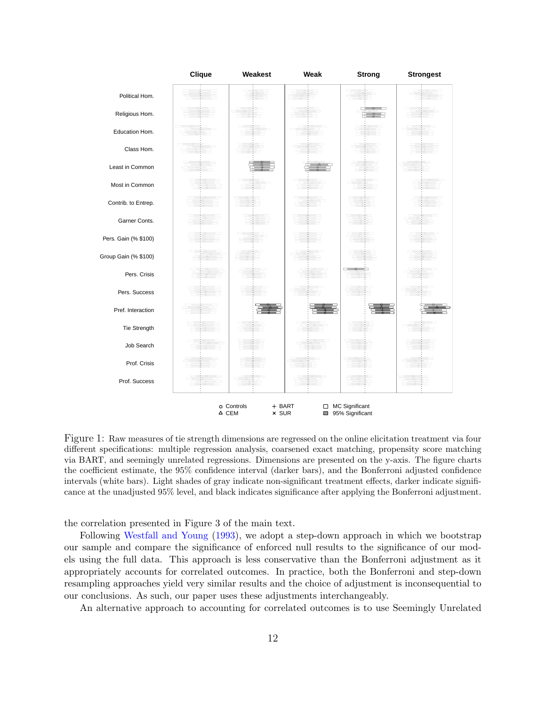<span id="page-11-0"></span>

Figure 1: Raw measures of tie strength dimensions are regressed on the online elicitation treatment via four different specifications: multiple regression analysis, coarsened exact matching, propensity score matching via BART, and seemingly unrelated regressions. Dimensions are presented on the y-axis. The figure charts the coefficient estimate, the 95% confidence interval (darker bars), and the Bonferroni adjusted confidence intervals (white bars). Light shades of gray indicate non-significant treatment effects, darker indicate significance at the unadjusted 95% level, and black indicates significance after applying the Bonferroni adjustment.

the correlation presented in Figure 3 of the main text.

Following [Westfall and Young](#page-24-5) [\(1993\)](#page-24-5), we adopt a step-down approach in which we bootstrap our sample and compare the significance of enforced null results to the significance of our models using the full data. This approach is less conservative than the Bonferroni adjustment as it appropriately accounts for correlated outcomes. In practice, both the Bonferroni and step-down resampling approaches yield very similar results and the choice of adjustment is inconsequential to our conclusions. As such, our paper uses these adjustments interchangeably.

An alternative approach to accounting for correlated outcomes is to use Seemingly Unrelated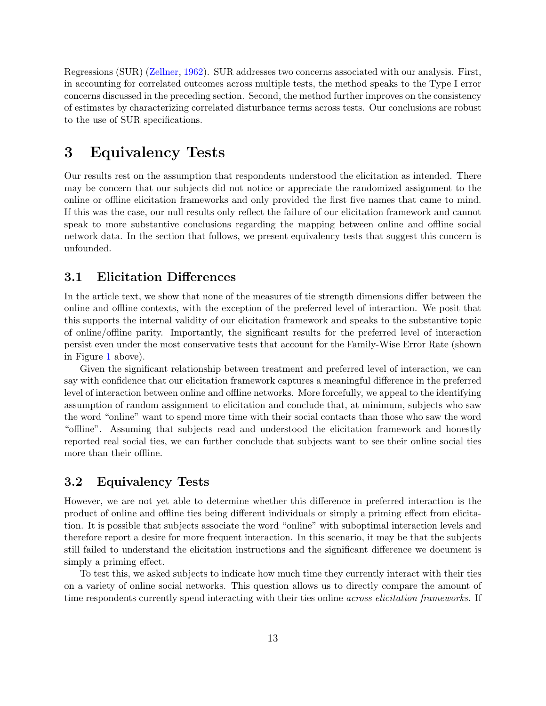Regressions (SUR) [\(Zellner,](#page-24-6) [1962\)](#page-24-6). SUR addresses two concerns associated with our analysis. First, in accounting for correlated outcomes across multiple tests, the method speaks to the Type I error concerns discussed in the preceding section. Second, the method further improves on the consistency of estimates by characterizing correlated disturbance terms across tests. Our conclusions are robust to the use of SUR specifications.

# <span id="page-12-0"></span>3 Equivalency Tests

Our results rest on the assumption that respondents understood the elicitation as intended. There may be concern that our subjects did not notice or appreciate the randomized assignment to the online or offline elicitation frameworks and only provided the first five names that came to mind. If this was the case, our null results only reflect the failure of our elicitation framework and cannot speak to more substantive conclusions regarding the mapping between online and offline social network data. In the section that follows, we present equivalency tests that suggest this concern is unfounded.

### <span id="page-12-1"></span>3.1 Elicitation Differences

In the article text, we show that none of the measures of tie strength dimensions differ between the online and offline contexts, with the exception of the preferred level of interaction. We posit that this supports the internal validity of our elicitation framework and speaks to the substantive topic of online/offline parity. Importantly, the significant results for the preferred level of interaction persist even under the most conservative tests that account for the Family-Wise Error Rate (shown in Figure [1](#page-11-0) above).

Given the significant relationship between treatment and preferred level of interaction, we can say with confidence that our elicitation framework captures a meaningful difference in the preferred level of interaction between online and offline networks. More forcefully, we appeal to the identifying assumption of random assignment to elicitation and conclude that, at minimum, subjects who saw the word "online" want to spend more time with their social contacts than those who saw the word "offline". Assuming that subjects read and understood the elicitation framework and honestly reported real social ties, we can further conclude that subjects want to see their online social ties more than their offline.

### <span id="page-12-2"></span>3.2 Equivalency Tests

However, we are not yet able to determine whether this difference in preferred interaction is the product of online and offline ties being different individuals or simply a priming effect from elicitation. It is possible that subjects associate the word "online" with suboptimal interaction levels and therefore report a desire for more frequent interaction. In this scenario, it may be that the subjects still failed to understand the elicitation instructions and the significant difference we document is simply a priming effect.

To test this, we asked subjects to indicate how much time they currently interact with their ties on a variety of online social networks. This question allows us to directly compare the amount of time respondents currently spend interacting with their ties online *across elicitation frameworks*. If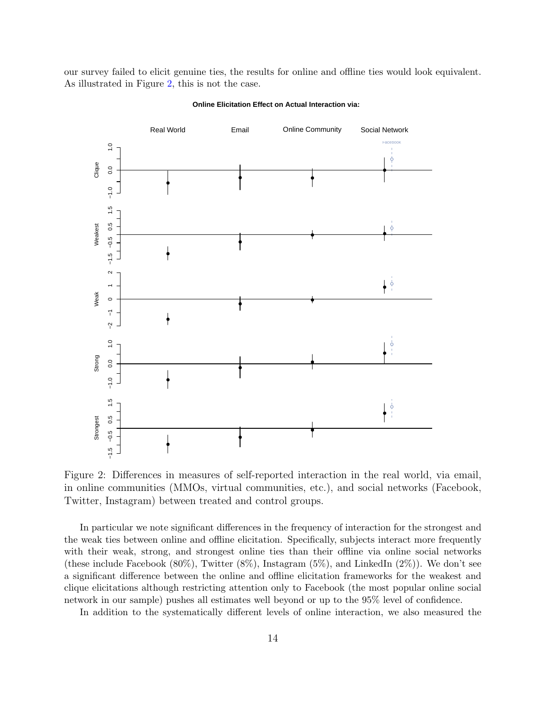our survey failed to elicit genuine ties, the results for online and offline ties would look equivalent. As illustrated in Figure [2,](#page-13-0) this is not the case.

<span id="page-13-0"></span>

**Online Elicitation Effect on Actual Interaction via:**

Figure 2: Differences in measures of self-reported interaction in the real world, via email, in online communities (MMOs, virtual communities, etc.), and social networks (Facebook, Twitter, Instagram) between treated and control groups.

In particular we note significant differences in the frequency of interaction for the strongest and the weak ties between online and offline elicitation. Specifically, subjects interact more frequently with their weak, strong, and strongest online ties than their offline via online social networks (these include Facebook  $(80\%)$ , Twitter  $(8\%)$ , Instagram  $(5\%)$ , and LinkedIn  $(2\%)$ ). We don't see a significant difference between the online and offline elicitation frameworks for the weakest and clique elicitations although restricting attention only to Facebook (the most popular online social network in our sample) pushes all estimates well beyond or up to the 95% level of confidence.

In addition to the systematically different levels of online interaction, we also measured the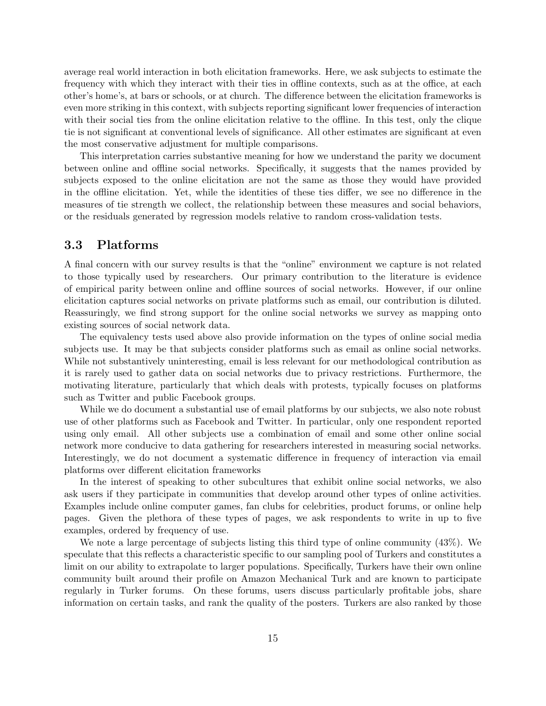average real world interaction in both elicitation frameworks. Here, we ask subjects to estimate the frequency with which they interact with their ties in offline contexts, such as at the office, at each other's home's, at bars or schools, or at church. The difference between the elicitation frameworks is even more striking in this context, with subjects reporting significant lower frequencies of interaction with their social ties from the online elicitation relative to the offline. In this test, only the clique tie is not significant at conventional levels of significance. All other estimates are significant at even the most conservative adjustment for multiple comparisons.

This interpretation carries substantive meaning for how we understand the parity we document between online and offline social networks. Specifically, it suggests that the names provided by subjects exposed to the online elicitation are not the same as those they would have provided in the offline elicitation. Yet, while the identities of these ties differ, we see no difference in the measures of tie strength we collect, the relationship between these measures and social behaviors, or the residuals generated by regression models relative to random cross-validation tests.

### <span id="page-14-0"></span>3.3 Platforms

A final concern with our survey results is that the "online" environment we capture is not related to those typically used by researchers. Our primary contribution to the literature is evidence of empirical parity between online and offline sources of social networks. However, if our online elicitation captures social networks on private platforms such as email, our contribution is diluted. Reassuringly, we find strong support for the online social networks we survey as mapping onto existing sources of social network data.

The equivalency tests used above also provide information on the types of online social media subjects use. It may be that subjects consider platforms such as email as online social networks. While not substantively uninteresting, email is less relevant for our methodological contribution as it is rarely used to gather data on social networks due to privacy restrictions. Furthermore, the motivating literature, particularly that which deals with protests, typically focuses on platforms such as Twitter and public Facebook groups.

While we do document a substantial use of email platforms by our subjects, we also note robust use of other platforms such as Facebook and Twitter. In particular, only one respondent reported using only email. All other subjects use a combination of email and some other online social network more conducive to data gathering for researchers interested in measuring social networks. Interestingly, we do not document a systematic difference in frequency of interaction via email platforms over different elicitation frameworks

In the interest of speaking to other subcultures that exhibit online social networks, we also ask users if they participate in communities that develop around other types of online activities. Examples include online computer games, fan clubs for celebrities, product forums, or online help pages. Given the plethora of these types of pages, we ask respondents to write in up to five examples, ordered by frequency of use.

We note a large percentage of subjects listing this third type of online community (43%). We speculate that this reflects a characteristic specific to our sampling pool of Turkers and constitutes a limit on our ability to extrapolate to larger populations. Specifically, Turkers have their own online community built around their profile on Amazon Mechanical Turk and are known to participate regularly in Turker forums. On these forums, users discuss particularly profitable jobs, share information on certain tasks, and rank the quality of the posters. Turkers are also ranked by those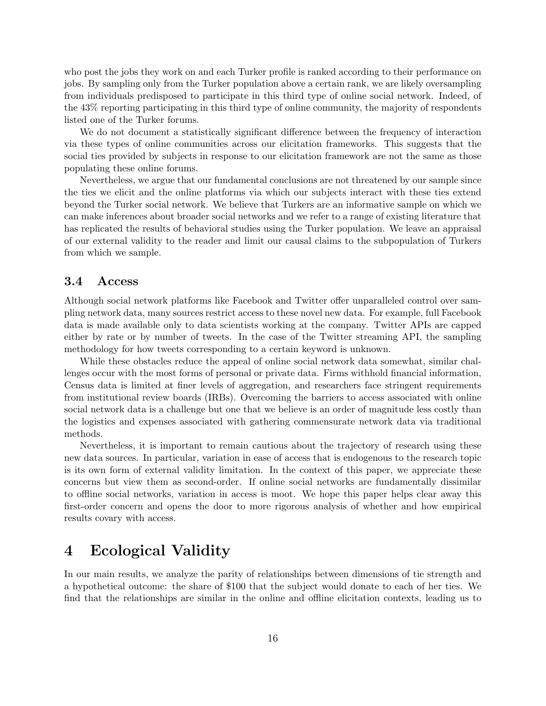who post the jobs they work on and each Turker profile is ranked according to their performance on jobs. By sampling only from the Turker population above a certain rank, we are likely oversampling from individuals predisposed to participate in this third type of online social network. Indeed, of the 43% reporting participating in this third type of online community, the majority of respondents listed one of the Turker forums.

We do not document a statistically significant difference between the frequency of interaction via these types of online communities across our elicitation frameworks. This suggests that the social ties provided by subjects in response to our elicitation framework are not the same as those populating these online forums.

Nevertheless, we argue that our fundamental conclusions are not threatened by our sample since the ties we elicit and the online platforms via which our subjects interact with these ties extend beyond the Turker social network. We believe that Turkers are an informative sample on which we can make inferences about broader social networks and we refer to a range of existing literature that has replicated the results of behavioral studies using the Turker population. We leave an appraisal of our external validity to the reader and limit our causal claims to the subpopulation of Turkers from which we sample.

#### <span id="page-15-0"></span>3.4 Access

Although social network platforms like Facebook and Twitter offer unparalleled control over sampling network data, many sources restrict access to these novel new data. For example, full Facebook data is made available only to data scientists working at the company. Twitter APIs are capped either by rate or by number of tweets. In the case of the Twitter streaming API, the sampling methodology for how tweets corresponding to a certain keyword is unknown.

While these obstacles reduce the appeal of online social network data somewhat, similar challenges occur with the most forms of personal or private data. Firms withhold financial information, Census data is limited at finer levels of aggregation, and researchers face stringent requirements from institutional review boards (IRBs). Overcoming the barriers to access associated with online social network data is a challenge but one that we believe is an order of magnitude less costly than the logistics and expenses associated with gathering commensurate network data via traditional methods.

Nevertheless, it is important to remain cautious about the trajectory of research using these new data sources. In particular, variation in ease of access that is endogenous to the research topic is its own form of external validity limitation. In the context of this paper, we appreciate these concerns but view them as second-order. If online social networks are fundamentally dissimilar to offline social networks, variation in access is moot. We hope this paper helps clear away this first-order concern and opens the door to more rigorous analysis of whether and how empirical results covary with access.

# <span id="page-15-1"></span>4 Ecological Validity

In our main results, we analyze the parity of relationships between dimensions of tie strength and a hypothetical outcome: the share of \$100 that the subject would donate to each of her ties. We find that the relationships are similar in the online and offline elicitation contexts, leading us to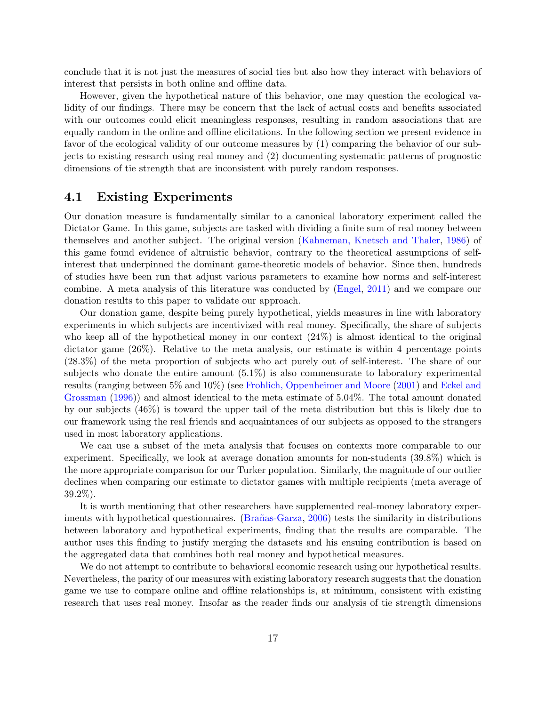conclude that it is not just the measures of social ties but also how they interact with behaviors of interest that persists in both online and offline data.

However, given the hypothetical nature of this behavior, one may question the ecological validity of our findings. There may be concern that the lack of actual costs and benefits associated with our outcomes could elicit meaningless responses, resulting in random associations that are equally random in the online and offline elicitations. In the following section we present evidence in favor of the ecological validity of our outcome measures by (1) comparing the behavior of our subjects to existing research using real money and (2) documenting systematic patterns of prognostic dimensions of tie strength that are inconsistent with purely random responses.

### <span id="page-16-0"></span>4.1 Existing Experiments

Our donation measure is fundamentally similar to a canonical laboratory experiment called the Dictator Game. In this game, subjects are tasked with dividing a finite sum of real money between themselves and another subject. The original version [\(Kahneman, Knetsch and Thaler,](#page-24-7) [1986\)](#page-24-7) of this game found evidence of altruistic behavior, contrary to the theoretical assumptions of selfinterest that underpinned the dominant game-theoretic models of behavior. Since then, hundreds of studies have been run that adjust various parameters to examine how norms and self-interest combine. A meta analysis of this literature was conducted by [\(Engel,](#page-24-8) [2011\)](#page-24-8) and we compare our donation results to this paper to validate our approach.

Our donation game, despite being purely hypothetical, yields measures in line with laboratory experiments in which subjects are incentivized with real money. Specifically, the share of subjects who keep all of the hypothetical money in our context (24%) is almost identical to the original dictator game (26%). Relative to the meta analysis, our estimate is within 4 percentage points (28.3%) of the meta proportion of subjects who act purely out of self-interest. The share of our subjects who donate the entire amount  $(5.1\%)$  is also commensurate to laboratory experimental results (ranging between 5% and 10%) (see [Frohlich, Oppenheimer and Moore](#page-24-9) [\(2001\)](#page-24-9) and [Eckel and](#page-24-10) [Grossman](#page-24-10) [\(1996\)](#page-24-10)) and almost identical to the meta estimate of 5.04%. The total amount donated by our subjects (46%) is toward the upper tail of the meta distribution but this is likely due to our framework using the real friends and acquaintances of our subjects as opposed to the strangers used in most laboratory applications.

We can use a subset of the meta analysis that focuses on contexts more comparable to our experiment. Specifically, we look at average donation amounts for non-students (39.8%) which is the more appropriate comparison for our Turker population. Similarly, the magnitude of our outlier declines when comparing our estimate to dictator games with multiple recipients (meta average of 39.2%).

It is worth mentioning that other researchers have supplemented real-money laboratory exper-iments with hypothetical questionnaires. (Brañas-Garza, [2006\)](#page-24-11) tests the similarity in distributions between laboratory and hypothetical experiments, finding that the results are comparable. The author uses this finding to justify merging the datasets and his ensuing contribution is based on the aggregated data that combines both real money and hypothetical measures.

We do not attempt to contribute to behavioral economic research using our hypothetical results. Nevertheless, the parity of our measures with existing laboratory research suggests that the donation game we use to compare online and offline relationships is, at minimum, consistent with existing research that uses real money. Insofar as the reader finds our analysis of tie strength dimensions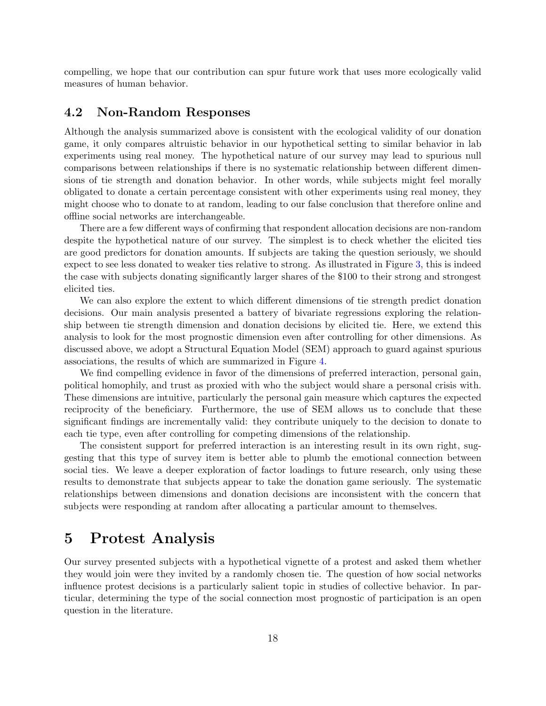compelling, we hope that our contribution can spur future work that uses more ecologically valid measures of human behavior.

### <span id="page-17-0"></span>4.2 Non-Random Responses

Although the analysis summarized above is consistent with the ecological validity of our donation game, it only compares altruistic behavior in our hypothetical setting to similar behavior in lab experiments using real money. The hypothetical nature of our survey may lead to spurious null comparisons between relationships if there is no systematic relationship between different dimensions of tie strength and donation behavior. In other words, while subjects might feel morally obligated to donate a certain percentage consistent with other experiments using real money, they might choose who to donate to at random, leading to our false conclusion that therefore online and offline social networks are interchangeable.

There are a few different ways of confirming that respondent allocation decisions are non-random despite the hypothetical nature of our survey. The simplest is to check whether the elicited ties are good predictors for donation amounts. If subjects are taking the question seriously, we should expect to see less donated to weaker ties relative to strong. As illustrated in Figure [3,](#page-18-0) this is indeed the case with subjects donating significantly larger shares of the \$100 to their strong and strongest elicited ties.

We can also explore the extent to which different dimensions of tie strength predict donation decisions. Our main analysis presented a battery of bivariate regressions exploring the relationship between tie strength dimension and donation decisions by elicited tie. Here, we extend this analysis to look for the most prognostic dimension even after controlling for other dimensions. As discussed above, we adopt a Structural Equation Model (SEM) approach to guard against spurious associations, the results of which are summarized in Figure [4.](#page-19-1)

We find compelling evidence in favor of the dimensions of preferred interaction, personal gain, political homophily, and trust as proxied with who the subject would share a personal crisis with. These dimensions are intuitive, particularly the personal gain measure which captures the expected reciprocity of the beneficiary. Furthermore, the use of SEM allows us to conclude that these significant findings are incrementally valid: they contribute uniquely to the decision to donate to each tie type, even after controlling for competing dimensions of the relationship.

The consistent support for preferred interaction is an interesting result in its own right, suggesting that this type of survey item is better able to plumb the emotional connection between social ties. We leave a deeper exploration of factor loadings to future research, only using these results to demonstrate that subjects appear to take the donation game seriously. The systematic relationships between dimensions and donation decisions are inconsistent with the concern that subjects were responding at random after allocating a particular amount to themselves.

## <span id="page-17-1"></span>5 Protest Analysis

Our survey presented subjects with a hypothetical vignette of a protest and asked them whether they would join were they invited by a randomly chosen tie. The question of how social networks influence protest decisions is a particularly salient topic in studies of collective behavior. In particular, determining the type of the social connection most prognostic of participation is an open question in the literature.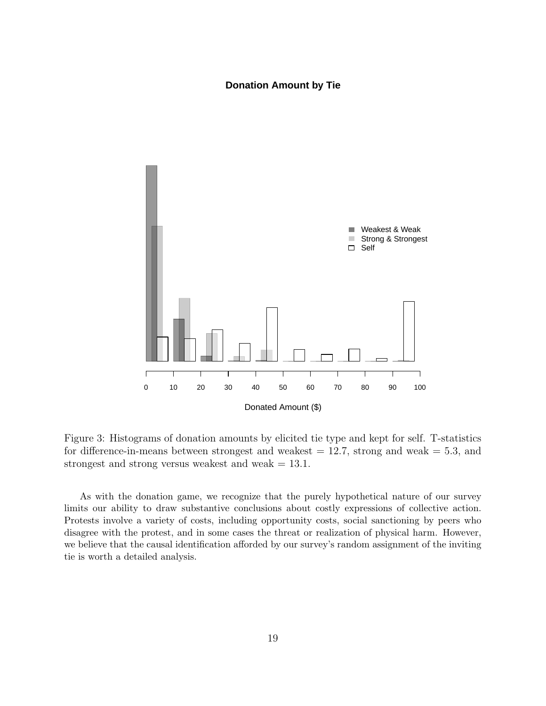#### **Donation Amount by Tie**

<span id="page-18-0"></span>

Figure 3: Histograms of donation amounts by elicited tie type and kept for self. T-statistics for difference-in-means between strongest and weakest  $= 12.7$ , strong and weak  $= 5.3$ , and strongest and strong versus weakest and weak  $= 13.1$ .

As with the donation game, we recognize that the purely hypothetical nature of our survey limits our ability to draw substantive conclusions about costly expressions of collective action. Protests involve a variety of costs, including opportunity costs, social sanctioning by peers who disagree with the protest, and in some cases the threat or realization of physical harm. However, we believe that the causal identification afforded by our survey's random assignment of the inviting tie is worth a detailed analysis.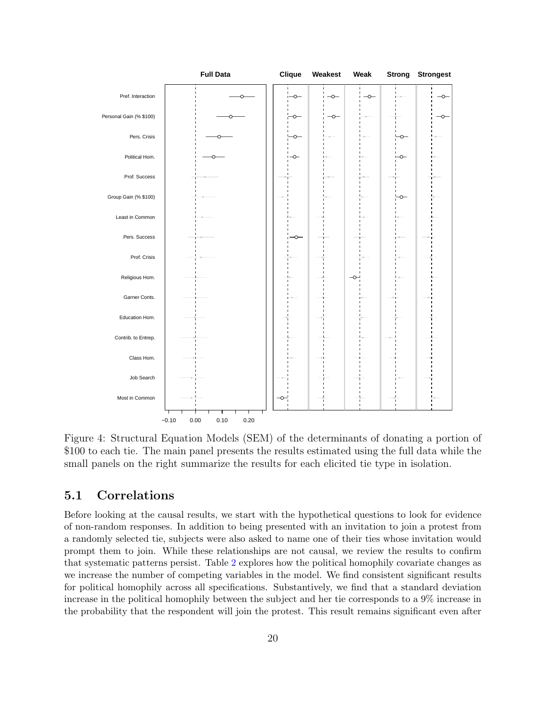<span id="page-19-1"></span>

Figure 4: Structural Equation Models (SEM) of the determinants of donating a portion of \$100 to each tie. The main panel presents the results estimated using the full data while the small panels on the right summarize the results for each elicited tie type in isolation.

### <span id="page-19-0"></span>5.1 Correlations

Before looking at the causal results, we start with the hypothetical questions to look for evidence of non-random responses. In addition to being presented with an invitation to join a protest from a randomly selected tie, subjects were also asked to name one of their ties whose invitation would prompt them to join. While these relationships are not causal, we review the results to confirm that systematic patterns persist. Table [2](#page-20-0) explores how the political homophily covariate changes as we increase the number of competing variables in the model. We find consistent significant results for political homophily across all specifications. Substantively, we find that a standard deviation increase in the political homophily between the subject and her tie corresponds to a 9% increase in the probability that the respondent will join the protest. This result remains significant even after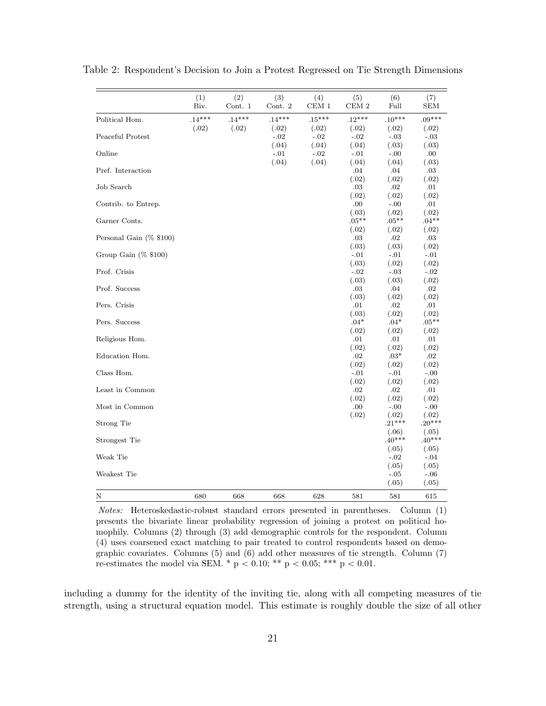|                            | (1)<br>Biv. | (2)<br>Cont. 1 | (3)<br>Cont. 2  | (4)<br>CEM1     | (5)<br>CEM <sub>2</sub> | (6)<br>Full           | (7)<br><b>SEM</b>     |
|----------------------------|-------------|----------------|-----------------|-----------------|-------------------------|-----------------------|-----------------------|
| Political Hom.             | $.14***$    | $.14***$       | $.14***$        | $.15***$        | $.12***$                | $.10***$              | $.09***$              |
| Peaceful Protest           | (.02)       | (.02)          | (.02)<br>$-.02$ | (.02)<br>$-.02$ | (.02)<br>$-.02$         | (.02)<br>$-.03$       | (.02)<br>$-.03$       |
| Online                     |             |                | (.04)<br>$-.01$ | (.04)<br>$-.02$ | (.04)<br>$-.01$         | (.03)<br>$-.00$       | (.03)<br>.00.         |
| Pref. Interaction          |             |                | (.04)           | (.04)           | (.04)<br>.04<br>(.02)   | (.04)<br>.04          | (.03)<br>.03          |
| Job Search                 |             |                |                 |                 | .03<br>(.02)            | (.02)<br>.02<br>(.02) | (.02)<br>.01<br>(.02) |
| Contrib. to Entrep.        |             |                |                 |                 | .00<br>(.03)            | $-.00$<br>(.02)       | .01<br>(.02)          |
| Garner Conts.              |             |                |                 |                 | $.05***$<br>(.02)       | $.05**$<br>(.02)      | $.04**$<br>(.02)      |
| Personal Gain $(\%$ \$100) |             |                |                 |                 | $.03\,$<br>(.03)        | .02<br>(.03)          | .03<br>(.02)          |
| Group Gain $(\%$ \$100)    |             |                |                 |                 | $-.01$<br>(.03)         | $-.01$<br>(.02)       | $-.01$<br>(.02)       |
| Prof. Crisis               |             |                |                 |                 | $-.02$<br>(.03)         | $-.03$<br>(.03)       | $-.02$<br>(.02)       |
| Prof. Success              |             |                |                 |                 | .03<br>(.03)            | .04<br>(.02)          | .02<br>(.02)          |
| Pers. Crisis               |             |                |                 |                 | .01<br>(.03)            | .02<br>(.02)          | .01<br>(.02)          |
| Pers. Success              |             |                |                 |                 | $.04*$<br>(.02)         | $.04*$<br>(.02)       | $.05**$<br>(.02)      |
| Religious Hom.             |             |                |                 |                 | .01<br>(.02)            | .01<br>(.02)          | .01<br>(.02)          |
| Education Hom.             |             |                |                 |                 | $.02\,$<br>(.02)        | $.03*$<br>(.02)       | $.02\,$<br>(.02)      |
| Class Hom.                 |             |                |                 |                 | $-.01$<br>(.02)         | $-.01$<br>(.02)       | $-.00$<br>(.02)       |
| Least in Common            |             |                |                 |                 | .02<br>(.02)            | .02<br>(.02)          | .01<br>(.02)          |
| Most in Common             |             |                |                 |                 | .00<br>(.02)            | $-.00$<br>(.02)       | $-.00$<br>(.02)       |
| Strong Tie                 |             |                |                 |                 |                         | $.21***$<br>(.06)     | $.20***$<br>(.05)     |
| Strongest Tie              |             |                |                 |                 |                         | $.40***$<br>(.05)     | $.40***$<br>(.05)     |
| Weak Tie                   |             |                |                 |                 |                         | $-.02$<br>(.05)       | $-.04$<br>(.05)       |
| Weakest Tie                |             |                |                 |                 |                         | $-.05$<br>(.05)       | $-.06$<br>(.05)       |
| Ν                          | 680         | 668            | 668             | 628             | 581                     | 581                   | 615                   |

<span id="page-20-0"></span>Table 2: Respondent's Decision to Join a Protest Regressed on Tie Strength Dimensions

Notes: Heteroskedastic-robust standard errors presented in parentheses. Column (1) presents the bivariate linear probability regression of joining a protest on political homophily. Columns (2) through (3) add demographic controls for the respondent. Column (4) uses coarsened exact matching to pair treated to control respondents based on demographic covariates. Columns (5) and (6) add other measures of tie strength. Column (7) re-estimates the model via SEM. \* p < 0.10; \*\* p < 0.05; \*\*\* p < 0.01.

including a dummy for the identity of the inviting tie, along with all competing measures of tie strength, using a structural equation model. This estimate is roughly double the size of all other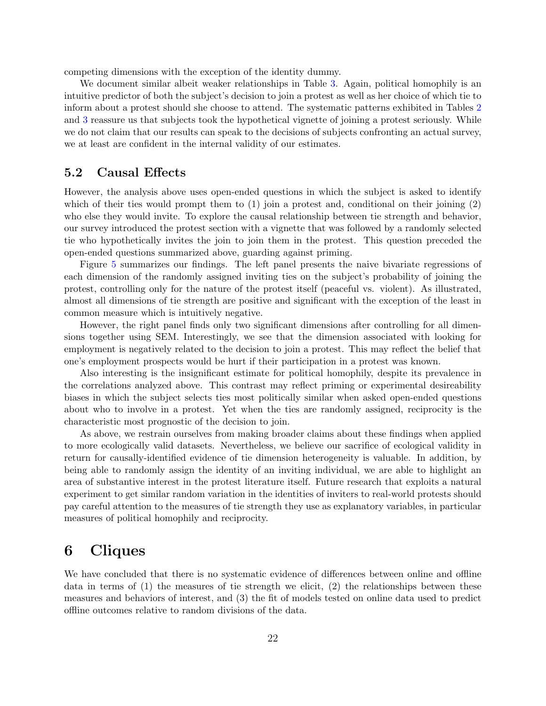competing dimensions with the exception of the identity dummy.

We document similar albeit weaker relationships in Table [3.](#page-22-0) Again, political homophily is an intuitive predictor of both the subject's decision to join a protest as well as her choice of which tie to inform about a protest should she choose to attend. The systematic patterns exhibited in Tables [2](#page-20-0) and [3](#page-22-0) reassure us that subjects took the hypothetical vignette of joining a protest seriously. While we do not claim that our results can speak to the decisions of subjects confronting an actual survey, we at least are confident in the internal validity of our estimates.

### <span id="page-21-0"></span>5.2 Causal Effects

However, the analysis above uses open-ended questions in which the subject is asked to identify which of their ties would prompt them to  $(1)$  join a protest and, conditional on their joining  $(2)$ who else they would invite. To explore the causal relationship between tie strength and behavior, our survey introduced the protest section with a vignette that was followed by a randomly selected tie who hypothetically invites the join to join them in the protest. This question preceded the open-ended questions summarized above, guarding against priming.

Figure [5](#page-23-0) summarizes our findings. The left panel presents the naive bivariate regressions of each dimension of the randomly assigned inviting ties on the subject's probability of joining the protest, controlling only for the nature of the protest itself (peaceful vs. violent). As illustrated, almost all dimensions of tie strength are positive and significant with the exception of the least in common measure which is intuitively negative.

However, the right panel finds only two significant dimensions after controlling for all dimensions together using SEM. Interestingly, we see that the dimension associated with looking for employment is negatively related to the decision to join a protest. This may reflect the belief that one's employment prospects would be hurt if their participation in a protest was known.

Also interesting is the insignificant estimate for political homophily, despite its prevalence in the correlations analyzed above. This contrast may reflect priming or experimental desireability biases in which the subject selects ties most politically similar when asked open-ended questions about who to involve in a protest. Yet when the ties are randomly assigned, reciprocity is the characteristic most prognostic of the decision to join.

As above, we restrain ourselves from making broader claims about these findings when applied to more ecologically valid datasets. Nevertheless, we believe our sacrifice of ecological validity in return for causally-identified evidence of tie dimension heterogeneity is valuable. In addition, by being able to randomly assign the identity of an inviting individual, we are able to highlight an area of substantive interest in the protest literature itself. Future research that exploits a natural experiment to get similar random variation in the identities of inviters to real-world protests should pay careful attention to the measures of tie strength they use as explanatory variables, in particular measures of political homophily and reciprocity.

## <span id="page-21-1"></span>6 Cliques

We have concluded that there is no systematic evidence of differences between online and offline data in terms of (1) the measures of tie strength we elicit, (2) the relationships between these measures and behaviors of interest, and (3) the fit of models tested on online data used to predict offline outcomes relative to random divisions of the data.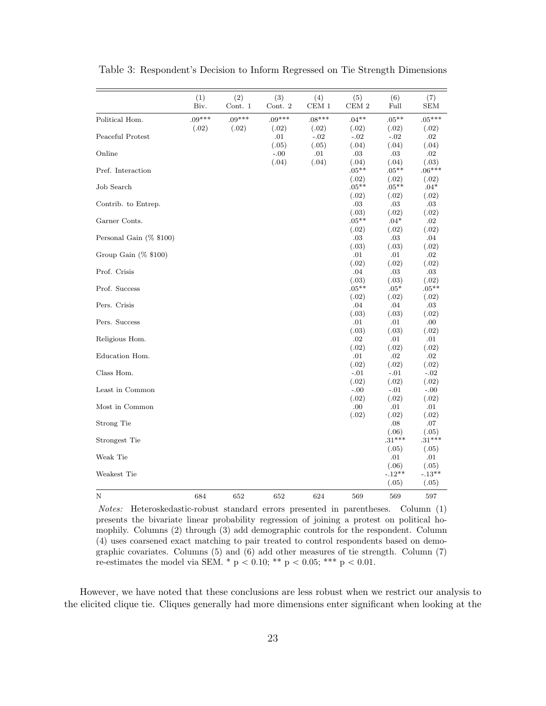<span id="page-22-0"></span>

|                         | (1)<br>Biv. | (2)<br>Cont. $1$ | (3)<br>Cont. $2\,$ | (4)<br>$\rm CEM$ $1$ | (5)<br>$\rm CEM$ 2 | (6)<br>Full       | (7)<br>${\rm SEM}$ |
|-------------------------|-------------|------------------|--------------------|----------------------|--------------------|-------------------|--------------------|
| Political Hom.          | $.09***$    | $.09***$         | $.09***$           | $.08***$             | $.04**$            | $.05***$          | $.05***$           |
|                         | (.02)       | (.02)            | (.02)              | (.02)                | (.02)              | (.02)             | (.02)              |
| Peaceful Protest        |             |                  | .01<br>(.05)       | $-.02$               | $-.02$<br>(.04)    | $-.02$            | .02                |
| Online                  |             |                  | $-.00$             | (.05)<br>.01         | .03                | (.04)<br>.03      | (.04)<br>.02       |
|                         |             |                  | (.04)              | (.04)                | (.04)              | (.04)             | (.03)              |
| Pref. Interaction       |             |                  |                    |                      | $.05**$            | $.05***$          | $.06***$           |
|                         |             |                  |                    |                      | (.02)              | (.02)             | (.02)              |
| Job Search              |             |                  |                    |                      | $.05***$           | $.05***$          | $.04*$             |
|                         |             |                  |                    |                      | (.02)              | (.02)             | (.02)              |
| Contrib. to Entrep.     |             |                  |                    |                      | .03<br>(.03)       | .03<br>(.02)      | .03<br>(.02)       |
| Garner Conts.           |             |                  |                    |                      | $.05***$           | $.04*$            | .02                |
|                         |             |                  |                    |                      | (.02)              | (.02)             | (.02)              |
| Personal Gain (% \$100) |             |                  |                    |                      | .03                | .03               | .04                |
|                         |             |                  |                    |                      | (.03)              | (.03)             | (.02)              |
| Group Gain $(\%$ \$100) |             |                  |                    |                      | .01                | .01               | .02                |
|                         |             |                  |                    |                      | (.02)              | (.02)             | (.02)              |
| Prof. Crisis            |             |                  |                    |                      | .04                | .03               | .03                |
| Prof. Success           |             |                  |                    |                      | (.03)<br>$.05**$   | (.03)<br>$.05*$   | (.02)<br>$.05***$  |
|                         |             |                  |                    |                      | (.02)              | (.02)             | (.02)              |
| Pers. Crisis            |             |                  |                    |                      | .04                | .04               | .03                |
|                         |             |                  |                    |                      | (.03)              | (.03)             | (.02)              |
| Pers. Success           |             |                  |                    |                      | .01                | .01               | .00                |
|                         |             |                  |                    |                      | (.03)              | (.03)             | (.02)              |
| Religious Hom.          |             |                  |                    |                      | .02                | .01               | .01                |
|                         |             |                  |                    |                      | (.02)              | (.02)             | (.02)              |
| Education Hom.          |             |                  |                    |                      | .01                | .02               | .02                |
| Class Hom.              |             |                  |                    |                      | (.02)<br>$-.01$    | (.02)<br>$-.01$   | (.02)<br>$-.02$    |
|                         |             |                  |                    |                      | (.02)              | (.02)             | (.02)              |
| Least in Common         |             |                  |                    |                      | $-.00$             | $-.01$            | $-.00$             |
|                         |             |                  |                    |                      | (.02)              | (.02)             | (.02)              |
| Most in Common          |             |                  |                    |                      | .00                | .01               | .01                |
|                         |             |                  |                    |                      | (.02)              | (.02)             | (.02)              |
| Strong Tie              |             |                  |                    |                      |                    | .08               | .07                |
|                         |             |                  |                    |                      |                    | (.06)             | (.05)              |
| Strongest Tie           |             |                  |                    |                      |                    | $.31***$<br>(.05) | $.31***$<br>(.05)  |
| Weak Tie                |             |                  |                    |                      |                    | .01               | .01                |
|                         |             |                  |                    |                      |                    | (.06)             | (.05)              |
| Weakest Tie             |             |                  |                    |                      |                    | $-.12**$          | $-.13**$           |
|                         |             |                  |                    |                      |                    | (.05)             | (.05)              |
| N                       | 684         | 652              | 652                | 624                  | 569                | 569               | 597                |

Table 3: Respondent's Decision to Inform Regressed on Tie Strength Dimensions

Notes: Heteroskedastic-robust standard errors presented in parentheses. Column (1) presents the bivariate linear probability regression of joining a protest on political homophily. Columns (2) through (3) add demographic controls for the respondent. Column (4) uses coarsened exact matching to pair treated to control respondents based on demographic covariates. Columns (5) and (6) add other measures of tie strength. Column (7) re-estimates the model via SEM. \* p < 0.10; \*\* p < 0.05; \*\*\* p < 0.01.

However, we have noted that these conclusions are less robust when we restrict our analysis to the elicited clique tie. Cliques generally had more dimensions enter significant when looking at the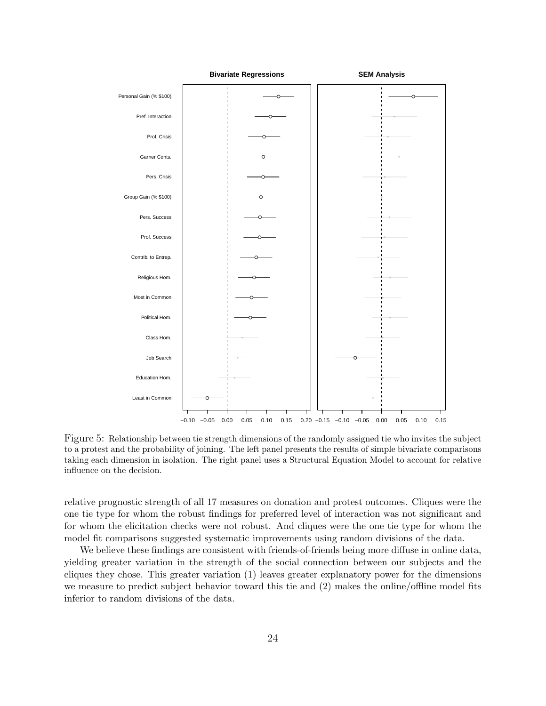<span id="page-23-0"></span>

Figure 5: Relationship between tie strength dimensions of the randomly assigned tie who invites the subject to a protest and the probability of joining. The left panel presents the results of simple bivariate comparisons taking each dimension in isolation. The right panel uses a Structural Equation Model to account for relative influence on the decision.

relative prognostic strength of all 17 measures on donation and protest outcomes. Cliques were the one tie type for whom the robust findings for preferred level of interaction was not significant and for whom the elicitation checks were not robust. And cliques were the one tie type for whom the model fit comparisons suggested systematic improvements using random divisions of the data.

We believe these findings are consistent with friends-of-friends being more diffuse in online data, yielding greater variation in the strength of the social connection between our subjects and the cliques they chose. This greater variation (1) leaves greater explanatory power for the dimensions we measure to predict subject behavior toward this tie and (2) makes the online/offline model fits inferior to random divisions of the data.